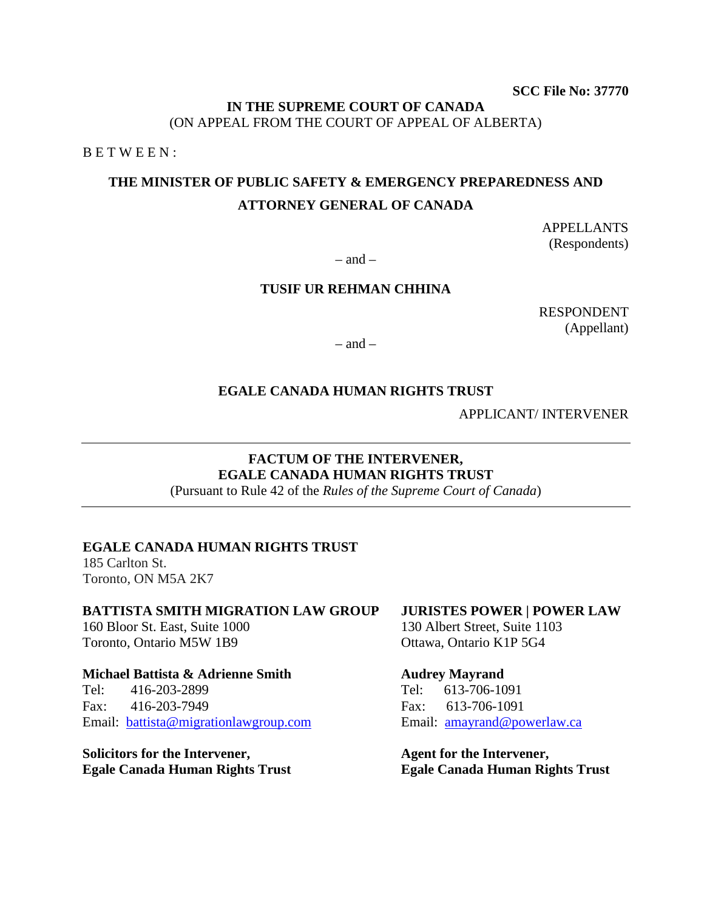**SCC File No: 37770** 

#### **IN THE SUPREME COURT OF CANADA** (ON APPEAL FROM THE COURT OF APPEAL OF ALBERTA)

B E T W E E N :

# **THE MINISTER OF PUBLIC SAFETY & EMERGENCY PREPAREDNESS AND ATTORNEY GENERAL OF CANADA**

APPELLANTS (Respondents)

 $-$  and  $-$ 

### **TUSIF UR REHMAN CHHINA**

RESPONDENT (Appellant)

 $-$  and  $-$ 

#### **EGALE CANADA HUMAN RIGHTS TRUST**

APPLICANT/ INTERVENER

## **FACTUM OF THE INTERVENER, EGALE CANADA HUMAN RIGHTS TRUST**

(Pursuant to Rule 42 of the *Rules of the Supreme Court of Canada*)

#### **EGALE CANADA HUMAN RIGHTS TRUST**

185 Carlton St. Toronto, ON M5A 2K7

## **BATTISTA SMITH MIGRATION LAW GROUP**

160 Bloor St. East, Suite 1000 Toronto, Ontario M5W 1B9

#### **Michael Battista & Adrienne Smith**

Tel: 416-203-2899 Fax: 416-203-7949 Email: [battista@migrationlawgroup.com](mailto:battista@migrationlawgroup.com)

**Solicitors for the Intervener, Egale Canada Human Rights Trust**

## **JURISTES POWER | POWER LAW**

130 Albert Street, Suite 1103 Ottawa, Ontario K1P 5G4

#### **Audrey Mayrand**

Tel: 613-706-1091 Fax: 613-706-1091 Email: [amayrand@powerlaw.ca](mailto:amayrand@powerlaw.ca)

**Agent for the Intervener, Egale Canada Human Rights Trust**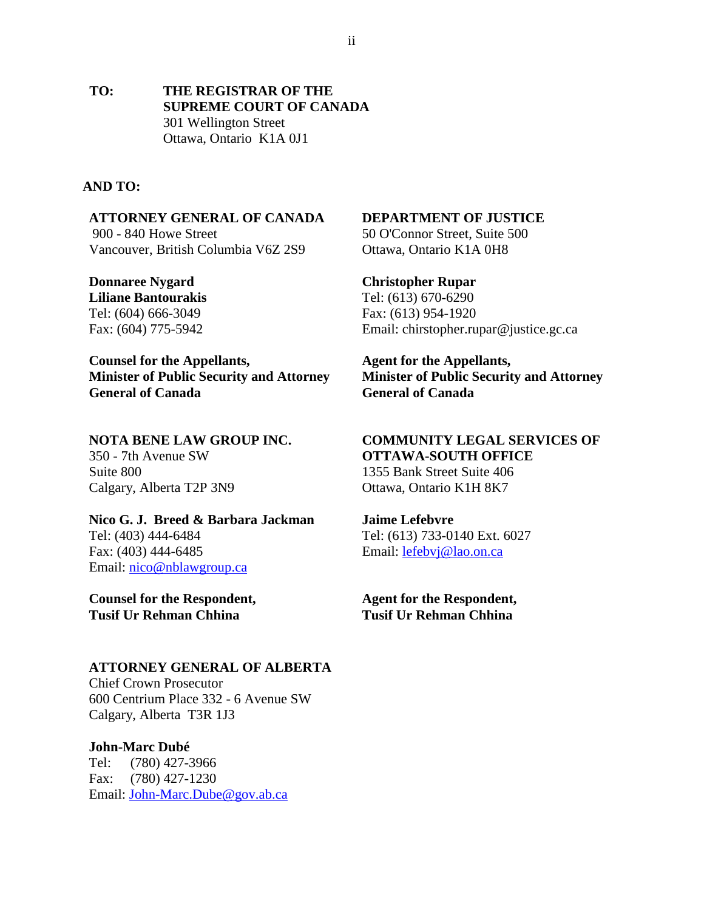**TO: THE REGISTRAR OF THE SUPREME COURT OF CANADA** 301 Wellington Street Ottawa, Ontario K1A 0J1

#### **AND TO:**

**ATTORNEY GENERAL OF CANADA** 900 - 840 Howe Street Vancouver, British Columbia V6Z 2S9

**Donnaree Nygard Liliane Bantourakis** Tel: (604) 666-3049 Fax: (604) 775-5942

**Counsel for the Appellants, Minister of Public Security and Attorney General of Canada** 

#### **NOTA BENE LAW GROUP INC.**

350 - 7th Avenue SW Suite 800 Calgary, Alberta T2P 3N9

**Nico G. J. Breed & Barbara Jackman**  Tel: (403) 444-6484 Fax: (403) 444-6485 Email: [nico@nblawgroup.ca](mailto:nico@nblawgroup.ca) 

**Counsel for the Respondent, Tusif Ur Rehman Chhina**

#### **ATTORNEY GENERAL OF ALBERTA**

Chief Crown Prosecutor 600 Centrium Place 332 - 6 Avenue SW Calgary, Alberta T3R 1J3

#### **John-Marc Dubé**

Tel: (780) 427-3966 Fax: (780) 427-1230 Email: [John-Marc.Dube@gov.ab.ca](mailto:John-Marc.Dube@gov.ab.ca)

#### **DEPARTMENT OF JUSTICE**

50 O'Connor Street, Suite 500 Ottawa, Ontario K1A 0H8

#### **Christopher Rupar**

Tel: (613) 670-6290 Fax: (613) 954-1920 Email: chirstopher.rupar@justice.gc.ca

**Agent for the Appellants, Minister of Public Security and Attorney General of Canada**

#### **COMMUNITY LEGAL SERVICES OF OTTAWA-SOUTH OFFICE**

1355 Bank Street Suite 406 Ottawa, Ontario K1H 8K7

#### **Jaime Lefebvre**

Tel: (613) 733-0140 Ext. 6027 Email: [lefebvj@lao.on.ca](mailto:lefebvj@lao.on.ca) 

**Agent for the Respondent, Tusif Ur Rehman Chhina**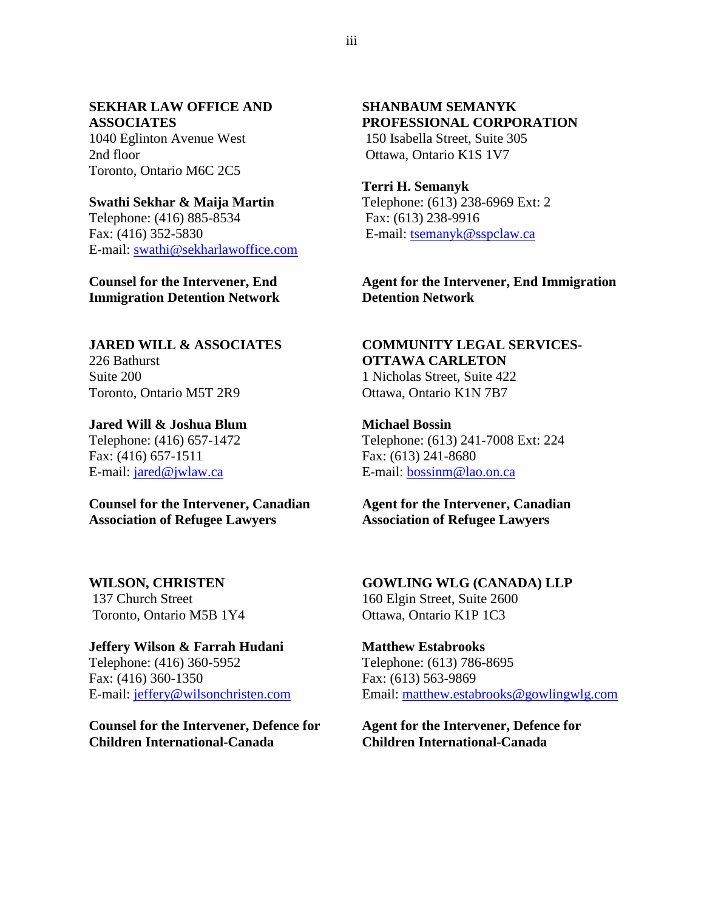#### **SEKHAR LAW OFFICE AND ASSOCIATES**

1040 Eglinton Avenue West 2nd floor Toronto, Ontario M6C 2C5

#### **Swathi Sekhar & Maija Martin**

Telephone: (416) 885-8534 Fax: (416) 352-5830 E-mail: [swathi@sekharlawoffice.com](mailto:swathi@sekharlawoffice.com)

## **Counsel for the Intervener, End Immigration Detention Network**

# **JARED WILL & ASSOCIATES** 226 Bathurst Suite 200

Toronto, Ontario M5T 2R9

## **Jared Will & Joshua Blum** Telephone: (416) 657-1472 Fax: (416) 657-1511 E-mail: [jared@jwlaw.ca](mailto:jared@jwlaw.ca)

## **Counsel for the Intervener, Canadian Association of Refugee Lawyers**

# **WILSON, CHRISTEN** 137 Church Street

Toronto, Ontario M5B 1Y4

# **Jeffery Wilson & Farrah Hudani** Telephone: (416) 360-5952

Fax: (416) 360-1350 E-mail: [jeffery@wilsonchristen.com](mailto:jeffery@wilsonchristen.com)

## **Counsel for the Intervener, Defence for Children International-Canada**

#### **SHANBAUM SEMANYK PROFESSIONAL CORPORATION** 150 Isabella Street, Suite 305

Ottawa, Ontario K1S 1V7

## **Terri H. Semanyk**

Telephone: (613) 238-6969 Ext: 2 Fax: (613) 238-9916 E-mail: [tsemanyk@sspclaw.ca](mailto:tsemanyk@sspclaw.ca)

## **Agent for the Intervener, End Immigration Detention Network**

# **COMMUNITY LEGAL SERVICES-OTTAWA CARLETON**

1 Nicholas Street, Suite 422 Ottawa, Ontario K1N 7B7

## **Michael Bossin** Telephone: (613) 241-7008 Ext: 224 Fax: (613) 241-8680 E-mail: [bossinm@lao.on.ca](mailto:bossinm@lao.on.ca)

## **Agent for the Intervener, Canadian Association of Refugee Lawyers**

## **GOWLING WLG (CANADA) LLP** 160 Elgin Street, Suite 2600 Ottawa, Ontario K1P 1C3

## **Matthew Estabrooks** Telephone: (613) 786-8695 Fax: (613) 563-9869 Email: [matthew.estabrooks@gowlingwlg.com](mailto:matthew.estabrooks@gowlingwlg.com)

## **Agent for the Intervener, Defence for Children International-Canada**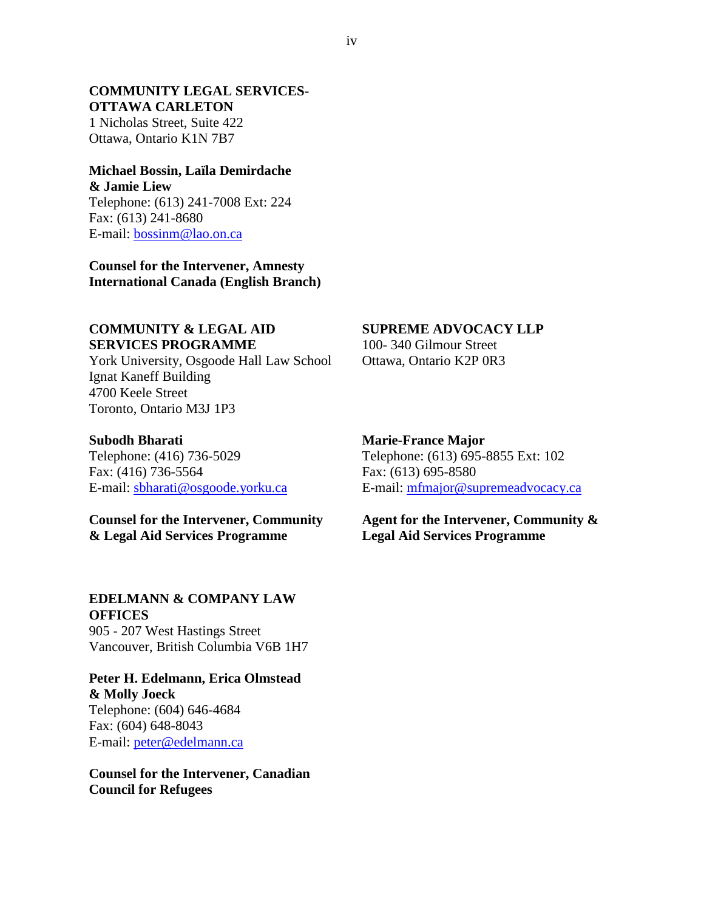#### **COMMUNITY LEGAL SERVICES-OTTAWA CARLETON**

1 Nicholas Street, Suite 422 Ottawa, Ontario K1N 7B7

#### **Michael Bossin, Laïla Demirdache & Jamie Liew**

Telephone: (613) 241-7008 Ext: 224 Fax: (613) 241-8680 E-mail: [bossinm@lao.on.ca](mailto:bossinm@lao.on.ca) 

**Counsel for the Intervener, Amnesty International Canada (English Branch)**

#### **COMMUNITY & LEGAL AID SERVICES PROGRAMME**

York University, Osgoode Hall Law School Ignat Kaneff Building 4700 Keele Street Toronto, Ontario M3J 1P3

#### **Subodh Bharati**

Telephone: (416) 736-5029 Fax: (416) 736-5564 E-mail: [sbharati@osgoode.yorku.ca](mailto:sbharati@osgoode.yorku.ca)

**Counsel for the Intervener, Community & Legal Aid Services Programme**

#### **EDELMANN & COMPANY LAW OFFICES**

905 - 207 West Hastings Street Vancouver, British Columbia V6B 1H7

### **Peter H. Edelmann, Erica Olmstead & Molly Joeck** Telephone: (604) 646-4684 Fax: (604) 648-8043 E-mail: [peter@edelmann.ca](mailto:peter@edelmann.ca)

**Counsel for the Intervener, Canadian Council for Refugees**

#### **SUPREME ADVOCACY LLP**

100- 340 Gilmour Street Ottawa, Ontario K2P 0R3

#### **Marie-France Major**

Telephone: (613) 695-8855 Ext: 102 Fax: (613) 695-8580 E-mail: [mfmajor@supremeadvocacy.ca](mailto:mfmajor@supremeadvocacy.ca)

**Agent for the Intervener, Community & Legal Aid Services Programme**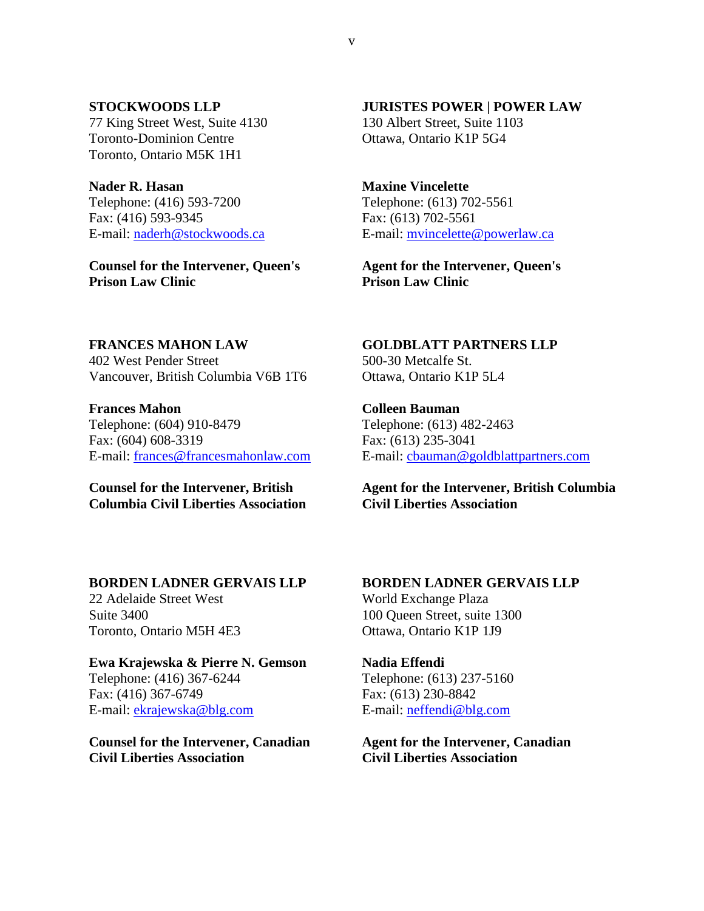#### **STOCKWOODS LLP**

77 King Street West, Suite 4130 Toronto-Dominion Centre Toronto, Ontario M5K 1H1

**Nader R. Hasan** Telephone: (416) 593-7200 Fax: (416) 593-9345 E-mail: [naderh@stockwoods.ca](mailto:naderh@stockwoods.ca)

**Counsel for the Intervener, Queen's Prison Law Clinic** 

#### **JURISTES POWER | POWER LAW**

130 Albert Street, Suite 1103 Ottawa, Ontario K1P 5G4

# **Maxine Vincelette**

Telephone: (613) 702-5561 Fax: (613) 702-5561 E-mail: [mvincelette@powerlaw.ca](mailto:mvincelette@powerlaw.ca)

**Agent for the Intervener, Queen's Prison Law Clinic**

#### **FRANCES MAHON LAW**

402 West Pender Street Vancouver, British Columbia V6B 1T6

**Frances Mahon** Telephone: (604) 910-8479 Fax: (604) 608-3319 E-mail: [frances@francesmahonlaw.com](mailto:frances@francesmahonlaw.com)

## **Counsel for the Intervener, British Columbia Civil Liberties Association**

**GOLDBLATT PARTNERS LLP** 500-30 Metcalfe St. Ottawa, Ontario K1P 5L4

**Colleen Bauman** Telephone: (613) 482-2463 Fax: (613) 235-3041 E-mail: [cbauman@goldblattpartners.com](mailto:cbauman@goldblattpartners.com)

**Agent for the Intervener, British Columbia Civil Liberties Association** 

## **BORDEN LADNER GERVAIS LLP**

22 Adelaide Street West Suite 3400 Toronto, Ontario M5H 4E3

#### **Ewa Krajewska & Pierre N. Gemson**

Telephone: (416) 367-6244 Fax: (416) 367-6749 E-mail: [ekrajewska@blg.com](mailto:ekrajewska@blg.com) 

**Counsel for the Intervener, Canadian Civil Liberties Association**

## **BORDEN LADNER GERVAIS LLP**

World Exchange Plaza 100 Queen Street, suite 1300 Ottawa, Ontario K1P 1J9

# **Nadia Effendi**  Telephone: (613) 237-5160

Fax: (613) 230-8842 E-mail: [neffendi@blg.com](mailto:neffendi@blg.com) 

**Agent for the Intervener, Canadian Civil Liberties Association**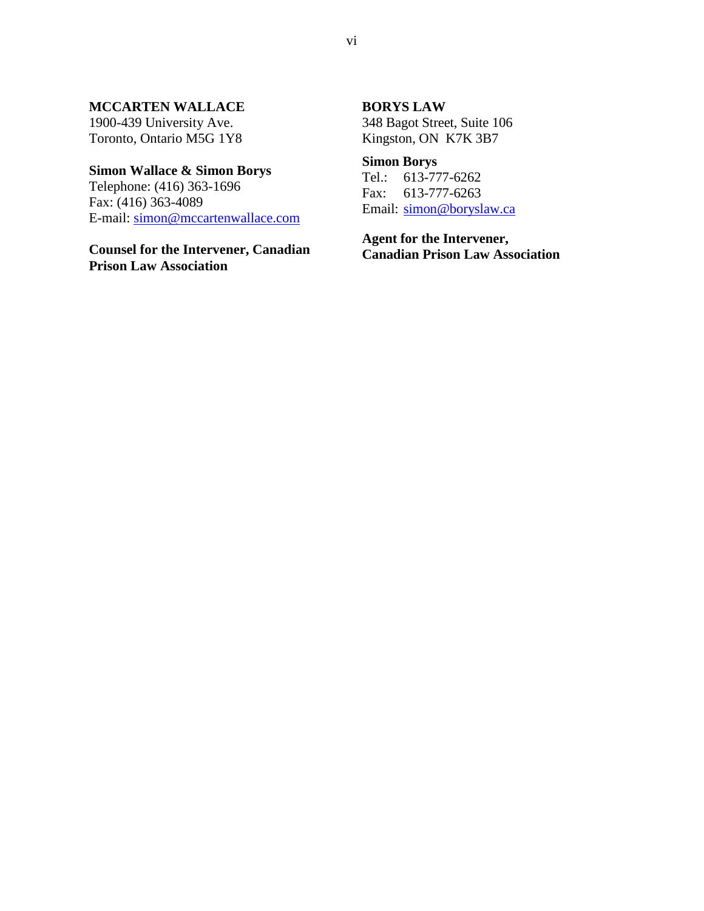#### **MCCARTEN WALLACE**

1900-439 University Ave. Toronto, Ontario M5G 1Y8

## **Simon Wallace & Simon Borys**

Telephone: (416) 363-1696 Fax: (416) 363-4089 E-mail: [simon@mccartenwallace.com](mailto:simon@mccartenwallace.com)

**Counsel for the Intervener, Canadian Prison Law Association** 

#### **BORYS LAW**

348 Bagot Street, Suite 106 Kingston, ON K7K 3B7

## **Simon Borys**

Tel.: 613-777-6262 Fax: 613-777-6263 Email: [simon@boryslaw.ca](mailto:simon@boryslaw.ca)

**Agent for the Intervener, Canadian Prison Law Association**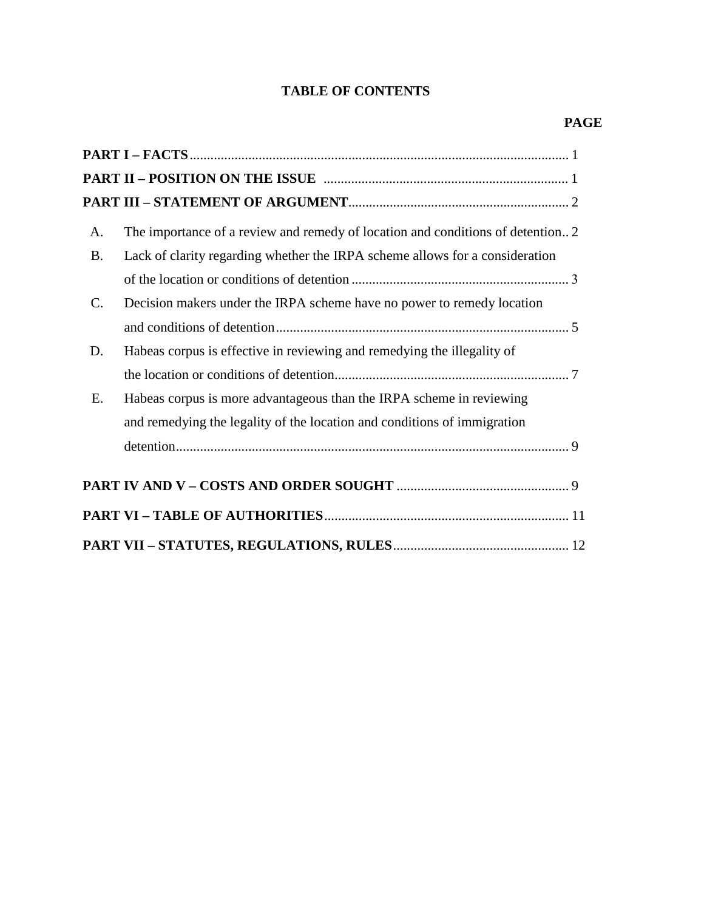# **TABLE OF CONTENTS**

| A.             | The importance of a review and remedy of location and conditions of detention 2 |  |
|----------------|---------------------------------------------------------------------------------|--|
| <b>B.</b>      | Lack of clarity regarding whether the IRPA scheme allows for a consideration    |  |
|                |                                                                                 |  |
| $\mathbf{C}$ . | Decision makers under the IRPA scheme have no power to remedy location          |  |
|                |                                                                                 |  |
| D.             | Habeas corpus is effective in reviewing and remedying the illegality of         |  |
|                |                                                                                 |  |
| E.             | Habeas corpus is more advantageous than the IRPA scheme in reviewing            |  |
|                | and remedying the legality of the location and conditions of immigration        |  |
|                |                                                                                 |  |
|                |                                                                                 |  |
|                |                                                                                 |  |
|                |                                                                                 |  |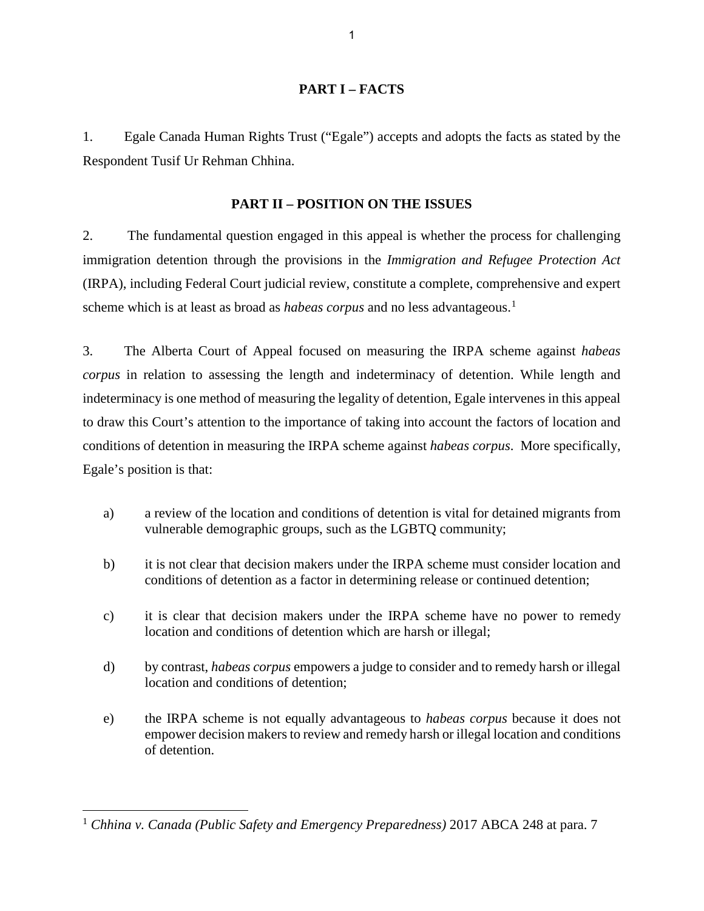### **PART I – FACTS**

1. Egale Canada Human Rights Trust ("Egale") accepts and adopts the facts as stated by the Respondent Tusif Ur Rehman Chhina.

#### **PART II – POSITION ON THE ISSUES**

2. The fundamental question engaged in this appeal is whether the process for challenging immigration detention through the provisions in the *Immigration and Refugee Protection Act* (IRPA), including Federal Court judicial review, constitute a complete, comprehensive and expert scheme which is at least as broad as *habeas corpus* and no less advantageous.<sup>[1](#page-7-0)</sup>

3. The Alberta Court of Appeal focused on measuring the IRPA scheme against *habeas corpus* in relation to assessing the length and indeterminacy of detention. While length and indeterminacy is one method of measuring the legality of detention, Egale intervenes in this appeal to draw this Court's attention to the importance of taking into account the factors of location and conditions of detention in measuring the IRPA scheme against *habeas corpus*. More specifically, Egale's position is that:

- a) a review of the location and conditions of detention is vital for detained migrants from vulnerable demographic groups, such as the LGBTQ community;
- b) it is not clear that decision makers under the IRPA scheme must consider location and conditions of detention as a factor in determining release or continued detention;
- c) it is clear that decision makers under the IRPA scheme have no power to remedy location and conditions of detention which are harsh or illegal;
- d) by contrast, *habeas corpus* empowers a judge to consider and to remedy harsh or illegal location and conditions of detention;
- e) the IRPA scheme is not equally advantageous to *habeas corpus* because it does not empower decision makers to review and remedy harsh or illegal location and conditions of detention.

<span id="page-7-0"></span><sup>1</sup> *Chhina v. Canada (Public Safety and Emergency Preparedness)* 2017 ABCA 248 at para. 7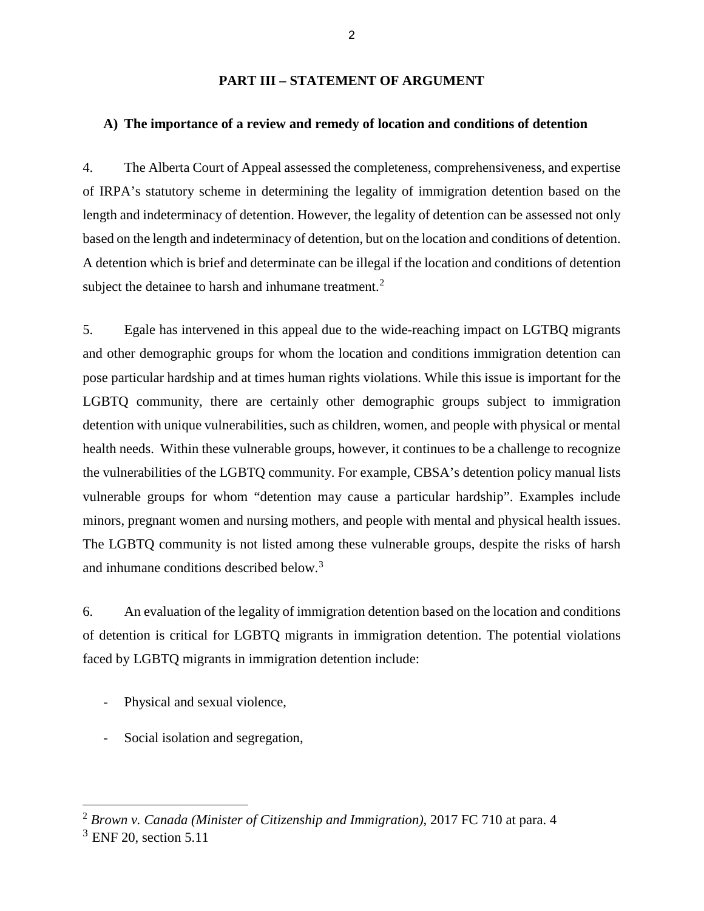#### **PART III – STATEMENT OF ARGUMENT**

#### **A) The importance of a review and remedy of location and conditions of detention**

4. The Alberta Court of Appeal assessed the completeness, comprehensiveness, and expertise of IRPA's statutory scheme in determining the legality of immigration detention based on the length and indeterminacy of detention. However, the legality of detention can be assessed not only based on the length and indeterminacy of detention, but on the location and conditions of detention. A detention which is brief and determinate can be illegal if the location and conditions of detention subject the detainee to harsh and inhumane treatment. $2$ 

5. Egale has intervened in this appeal due to the wide-reaching impact on LGTBQ migrants and other demographic groups for whom the location and conditions immigration detention can pose particular hardship and at times human rights violations. While this issue is important for the LGBTQ community, there are certainly other demographic groups subject to immigration detention with unique vulnerabilities, such as children, women, and people with physical or mental health needs. Within these vulnerable groups, however, it continues to be a challenge to recognize the vulnerabilities of the LGBTQ community. For example, CBSA's detention policy manual lists vulnerable groups for whom "detention may cause a particular hardship". Examples include minors, pregnant women and nursing mothers, and people with mental and physical health issues. The LGBTQ community is not listed among these vulnerable groups, despite the risks of harsh and inhumane conditions described below.[3](#page-8-1)

6. An evaluation of the legality of immigration detention based on the location and conditions of detention is critical for LGBTQ migrants in immigration detention. The potential violations faced by LGBTQ migrants in immigration detention include:

- Physical and sexual violence,
- Social isolation and segregation,

<span id="page-8-0"></span><sup>2</sup> *Brown v. Canada (Minister of Citizenship and Immigration)*, 2017 FC 710 at para. 4

<span id="page-8-1"></span> $3$  ENF 20, section 5.11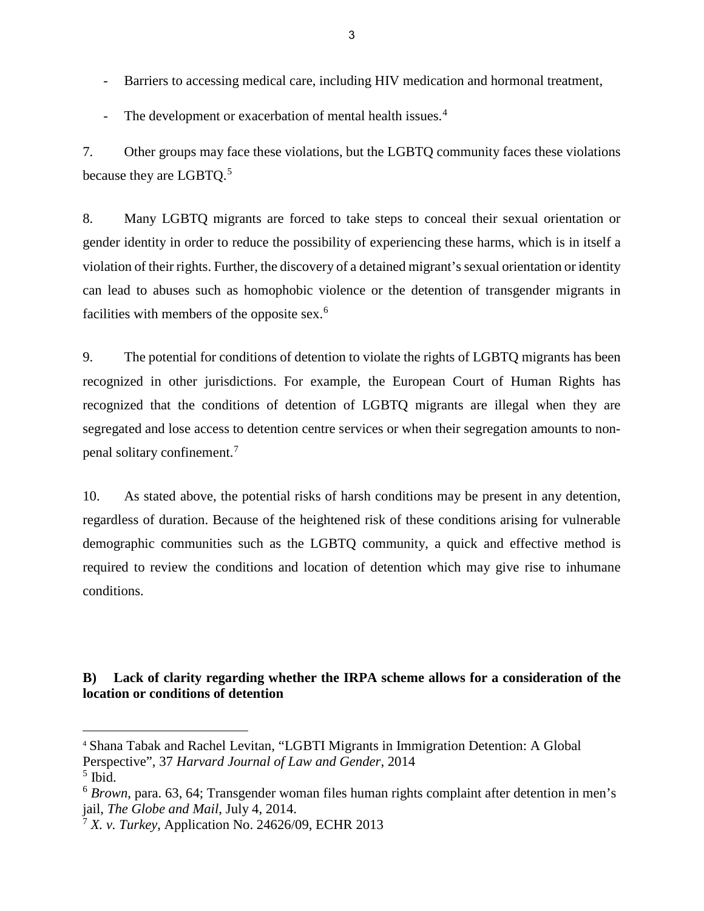- Barriers to accessing medical care, including HIV medication and hormonal treatment,
- The development or exacerbation of mental health issues.<sup>[4](#page-9-0)</sup>

7. Other groups may face these violations, but the LGBTQ community faces these violations because they are LGBTQ.<sup>[5](#page-9-1)</sup>

8. Many LGBTQ migrants are forced to take steps to conceal their sexual orientation or gender identity in order to reduce the possibility of experiencing these harms, which is in itself a violation of their rights. Further, the discovery of a detained migrant's sexual orientation or identity can lead to abuses such as homophobic violence or the detention of transgender migrants in facilities with members of the opposite sex.<sup>[6](#page-9-2)</sup>

9. The potential for conditions of detention to violate the rights of LGBTQ migrants has been recognized in other jurisdictions. For example, the European Court of Human Rights has recognized that the conditions of detention of LGBTQ migrants are illegal when they are segregated and lose access to detention centre services or when their segregation amounts to nonpenal solitary confinement.[7](#page-9-3)

10. As stated above, the potential risks of harsh conditions may be present in any detention, regardless of duration. Because of the heightened risk of these conditions arising for vulnerable demographic communities such as the LGBTQ community, a quick and effective method is required to review the conditions and location of detention which may give rise to inhumane conditions.

## **B) Lack of clarity regarding whether the IRPA scheme allows for a consideration of the location or conditions of detention**

<span id="page-9-0"></span><sup>4</sup> Shana Tabak and Rachel Levitan, "LGBTI Migrants in Immigration Detention: A Global Perspective", 37 *Harvard Journal of Law and Gender*, 2014

<span id="page-9-1"></span> $<sup>5</sup>$  Ibid.</sup>

<span id="page-9-2"></span><sup>6</sup> *Brown*, para. 63, 64; Transgender woman files human rights complaint after detention in men's jail, *The Globe and Mail*, July 4, 2014.

<span id="page-9-3"></span> $7 X. v.$  Turkey, Application No. 24626/09, ECHR 2013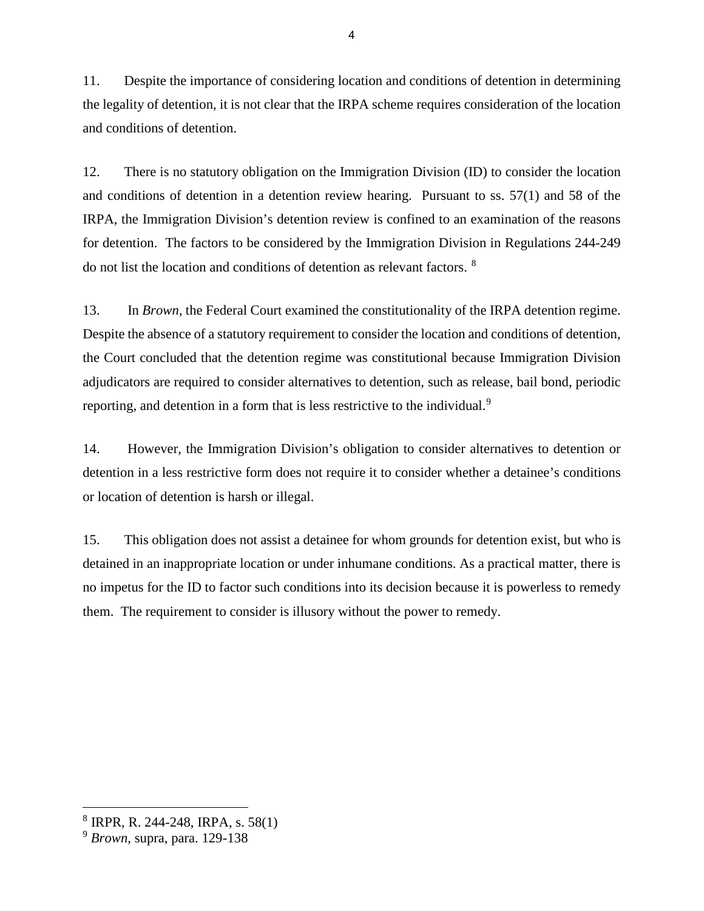11. Despite the importance of considering location and conditions of detention in determining the legality of detention, it is not clear that the IRPA scheme requires consideration of the location and conditions of detention.

12. There is no statutory obligation on the Immigration Division (ID) to consider the location and conditions of detention in a detention review hearing. Pursuant to ss. 57(1) and 58 of the IRPA, the Immigration Division's detention review is confined to an examination of the reasons for detention. The factors to be considered by the Immigration Division in Regulations 244-249 do not list the location and conditions of detention as relevant factors. [8](#page-10-0)

13. In *Brown*, the Federal Court examined the constitutionality of the IRPA detention regime. Despite the absence of a statutory requirement to consider the location and conditions of detention, the Court concluded that the detention regime was constitutional because Immigration Division adjudicators are required to consider alternatives to detention, such as release, bail bond, periodic reporting, and detention in a form that is less restrictive to the individual.<sup>[9](#page-10-1)</sup>

14. However, the Immigration Division's obligation to consider alternatives to detention or detention in a less restrictive form does not require it to consider whether a detainee's conditions or location of detention is harsh or illegal.

15. This obligation does not assist a detainee for whom grounds for detention exist, but who is detained in an inappropriate location or under inhumane conditions. As a practical matter, there is no impetus for the ID to factor such conditions into its decision because it is powerless to remedy them. The requirement to consider is illusory without the power to remedy.

<span id="page-10-0"></span><sup>8</sup> IRPR, R. 244-248, IRPA, s. 58(1)

<span id="page-10-1"></span><sup>9</sup> *Brown*, supra, para. 129-138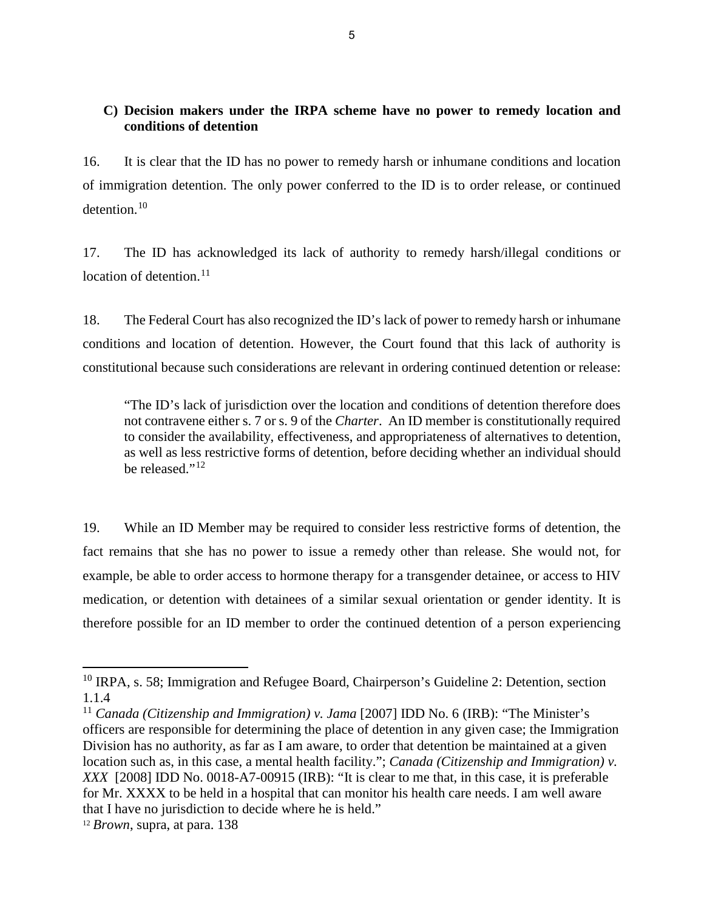## **C) Decision makers under the IRPA scheme have no power to remedy location and conditions of detention**

16. It is clear that the ID has no power to remedy harsh or inhumane conditions and location of immigration detention. The only power conferred to the ID is to order release, or continued detention.[10](#page-11-0)

17. The ID has acknowledged its lack of authority to remedy harsh/illegal conditions or location of detention. $11$ 

18. The Federal Court has also recognized the ID's lack of power to remedy harsh or inhumane conditions and location of detention. However, the Court found that this lack of authority is constitutional because such considerations are relevant in ordering continued detention or release:

"The ID's lack of jurisdiction over the location and conditions of detention therefore does not contravene either s. 7 or s. 9 of the *Charter*. An ID member is constitutionally required to consider the availability, effectiveness, and appropriateness of alternatives to detention, as well as less restrictive forms of detention, before deciding whether an individual should be released." $^{12}$  $^{12}$  $^{12}$ 

19. While an ID Member may be required to consider less restrictive forms of detention, the fact remains that she has no power to issue a remedy other than release. She would not, for example, be able to order access to hormone therapy for a transgender detainee, or access to HIV medication, or detention with detainees of a similar sexual orientation or gender identity. It is therefore possible for an ID member to order the continued detention of a person experiencing

<span id="page-11-0"></span><sup>&</sup>lt;sup>10</sup> IRPA, s. 58; Immigration and Refugee Board, Chairperson's Guideline 2: Detention, section 1.1.4

<span id="page-11-1"></span><sup>&</sup>lt;sup>11</sup> *Canada (Citizenship and Immigration) v. Jama* [2007] IDD No. 6 (IRB): "The Minister's officers are responsible for determining the place of detention in any given case; the Immigration Division has no authority, as far as I am aware, to order that detention be maintained at a given location such as, in this case, a mental health facility."; *Canada (Citizenship and Immigration) v. XXX* [2008] IDD No. 0018-A7-00915 (IRB): "It is clear to me that, in this case, it is preferable for Mr. XXXX to be held in a hospital that can monitor his health care needs. I am well aware that I have no jurisdiction to decide where he is held."

<span id="page-11-2"></span><sup>12</sup> *Brown*, supra, at para. 138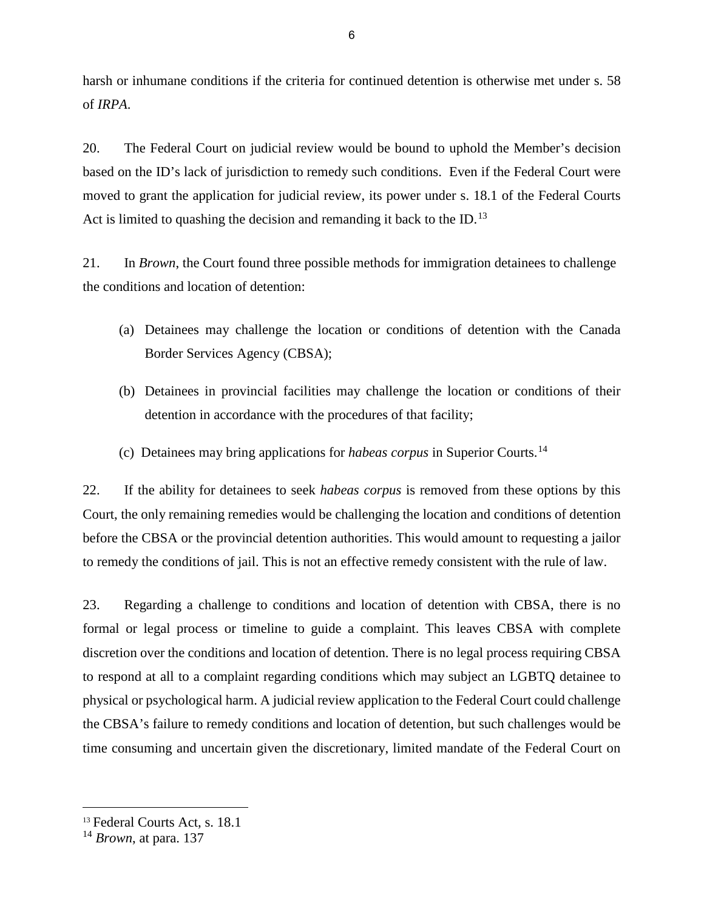harsh or inhumane conditions if the criteria for continued detention is otherwise met under s. 58 of *IRPA*.

20. The Federal Court on judicial review would be bound to uphold the Member's decision based on the ID's lack of jurisdiction to remedy such conditions. Even if the Federal Court were moved to grant the application for judicial review, its power under s. 18.1 of the Federal Courts Act is limited to quashing the decision and remanding it back to the ID.<sup>[13](#page-12-0)</sup>

21. In *Brown*, the Court found three possible methods for immigration detainees to challenge the conditions and location of detention:

- (a) Detainees may challenge the location or conditions of detention with the Canada Border Services Agency (CBSA);
- (b) Detainees in provincial facilities may challenge the location or conditions of their detention in accordance with the procedures of that facility;
- (c) Detainees may bring applications for *habeas corpus* in Superior Courts.[14](#page-12-1)

22. If the ability for detainees to seek *habeas corpus* is removed from these options by this Court, the only remaining remedies would be challenging the location and conditions of detention before the CBSA or the provincial detention authorities. This would amount to requesting a jailor to remedy the conditions of jail. This is not an effective remedy consistent with the rule of law.

23. Regarding a challenge to conditions and location of detention with CBSA, there is no formal or legal process or timeline to guide a complaint. This leaves CBSA with complete discretion over the conditions and location of detention. There is no legal process requiring CBSA to respond at all to a complaint regarding conditions which may subject an LGBTQ detainee to physical or psychological harm. A judicial review application to the Federal Court could challenge the CBSA's failure to remedy conditions and location of detention, but such challenges would be time consuming and uncertain given the discretionary, limited mandate of the Federal Court on

<span id="page-12-0"></span><sup>13</sup> Federal Courts Act, s. 18.1

<span id="page-12-1"></span><sup>14</sup> *Brown*, at para. 137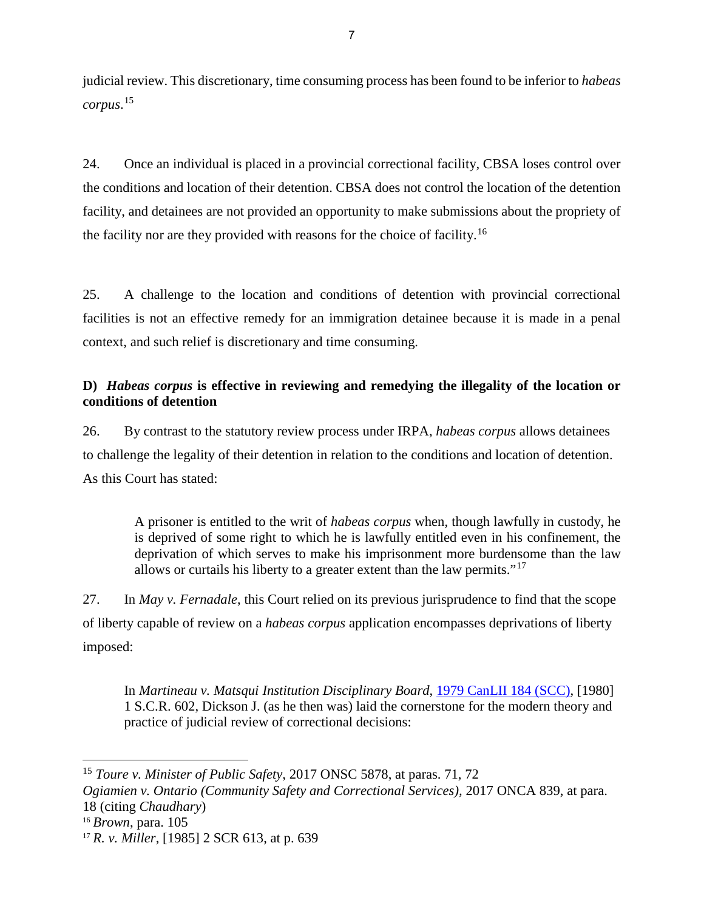judicial review. This discretionary, time consuming process has been found to be inferior to *habeas corpus*. [15](#page-13-0)

24. Once an individual is placed in a provincial correctional facility, CBSA loses control over the conditions and location of their detention. CBSA does not control the location of the detention facility, and detainees are not provided an opportunity to make submissions about the propriety of the facility nor are they provided with reasons for the choice of facility.<sup>[16](#page-13-1)</sup>

25. A challenge to the location and conditions of detention with provincial correctional facilities is not an effective remedy for an immigration detainee because it is made in a penal context, and such relief is discretionary and time consuming.

## **D)** *Habeas corpus* **is effective in reviewing and remedying the illegality of the location or conditions of detention**

26. By contrast to the statutory review process under IRPA, *habeas corpus* allows detainees to challenge the legality of their detention in relation to the conditions and location of detention. As this Court has stated:

A prisoner is entitled to the writ of *habeas corpus* when, though lawfully in custody, he is deprived of some right to which he is lawfully entitled even in his confinement, the deprivation of which serves to make his imprisonment more burdensome than the law allows or curtails his liberty to a greater extent than the law permits."[17](#page-13-2)

27. In *May v. Fernadale*, this Court relied on its previous jurisprudence to find that the scope of liberty capable of review on a *habeas corpus* application encompasses deprivations of liberty imposed:

In *Martineau v. Matsqui Institution Disciplinary Board*, [1979 CanLII 184 \(SCC\),](https://www.canlii.org/en/ca/scc/doc/1979/1979canlii184/1979canlii184.html) [1980] 1 S.C.R. 602, Dickson J. (as he then was) laid the cornerstone for the modern theory and practice of judicial review of correctional decisions:

<span id="page-13-0"></span><sup>15</sup> *Toure v. Minister of Public Safety*, 2017 ONSC 5878, at paras. 71, 72

*Ogiamien v. Ontario (Community Safety and Correctional Services),* 2017 ONCA 839, at para. 18 (citing *Chaudhary*)

<span id="page-13-1"></span><sup>16</sup> *Brown*, para. 105

<span id="page-13-2"></span><sup>17</sup> *R. v. Miller*, [1985] 2 SCR 613, at p. 639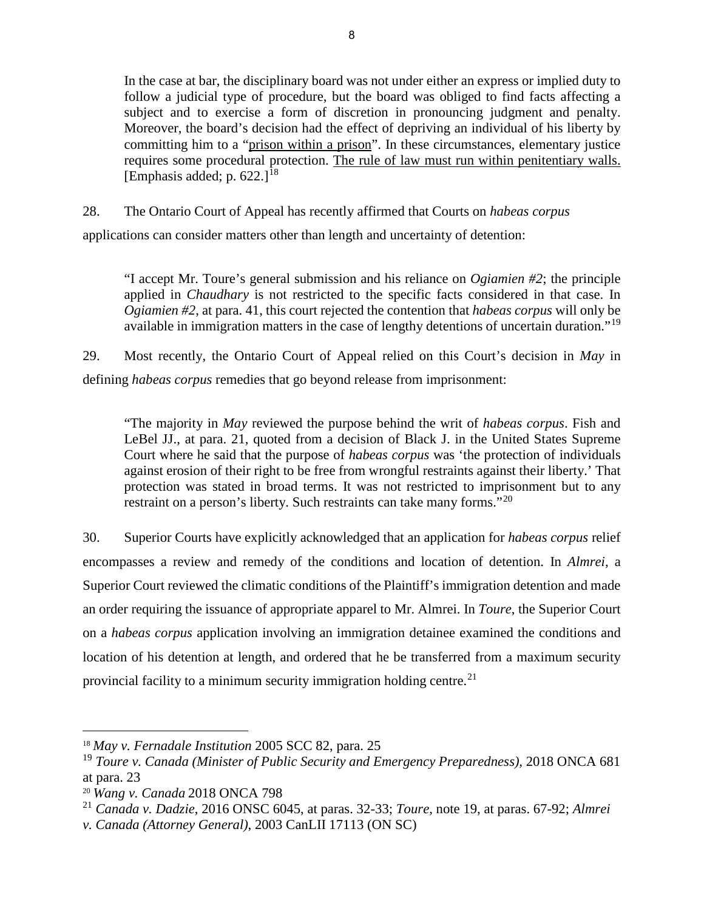In the case at bar, the disciplinary board was not under either an express or implied duty to follow a judicial type of procedure, but the board was obliged to find facts affecting a subject and to exercise a form of discretion in pronouncing judgment and penalty. Moreover, the board's decision had the effect of depriving an individual of his liberty by committing him to a "prison within a prison". In these circumstances, elementary justice requires some procedural protection. The rule of law must run within penitentiary walls. [Emphasis added; p.  $622.1^{18}$  $622.1^{18}$  $622.1^{18}$ ]

28. The Ontario Court of Appeal has recently affirmed that Courts on *habeas corpus*

applications can consider matters other than length and uncertainty of detention:

"I accept Mr. Toure's general submission and his reliance on *Ogiamien #2*; the principle applied in *Chaudhary* is not restricted to the specific facts considered in that case. In *Ogiamien #2*, at para. 41, this court rejected the contention that *habeas corpus* will only be available in immigration matters in the case of lengthy detentions of uncertain duration."<sup>[19](#page-14-1)</sup>

29. Most recently, the Ontario Court of Appeal relied on this Court's decision in *May* in defining *habeas corpus* remedies that go beyond release from imprisonment:

"The majority in *May* reviewed the purpose behind the writ of *habeas corpus*. Fish and LeBel JJ., at para. 21, quoted from a decision of Black J. in the United States Supreme Court where he said that the purpose of *habeas corpus* was 'the protection of individuals against erosion of their right to be free from wrongful restraints against their liberty.' That protection was stated in broad terms. It was not restricted to imprisonment but to any restraint on a person's liberty. Such restraints can take many forms."[20](#page-14-2)

30. Superior Courts have explicitly acknowledged that an application for *habeas corpus* relief encompasses a review and remedy of the conditions and location of detention. In *Almrei*, a Superior Court reviewed the climatic conditions of the Plaintiff's immigration detention and made an order requiring the issuance of appropriate apparel to Mr. Almrei. In *Toure*, the Superior Court on a *habeas corpus* application involving an immigration detainee examined the conditions and location of his detention at length, and ordered that he be transferred from a maximum security provincial facility to a minimum security immigration holding centre.<sup>[21](#page-14-3)</sup>

<span id="page-14-0"></span><sup>18</sup> *May v. Fernadale Institution* 2005 SCC 82, para. 25

<span id="page-14-1"></span><sup>19</sup> *Toure v. Canada (Minister of Public Security and Emergency Preparedness),* 2018 ONCA 681 at para. 23

<span id="page-14-2"></span><sup>20</sup> *Wang v. Canada* 2018 ONCA 798

<span id="page-14-3"></span><sup>21</sup> *Canada v. Dadzie*, 2016 ONSC 6045, at paras. 32-33; *Toure*, note 19, at paras. 67-92; *Almrei* 

*v. Canada (Attorney General)*, 2003 CanLII 17113 (ON SC)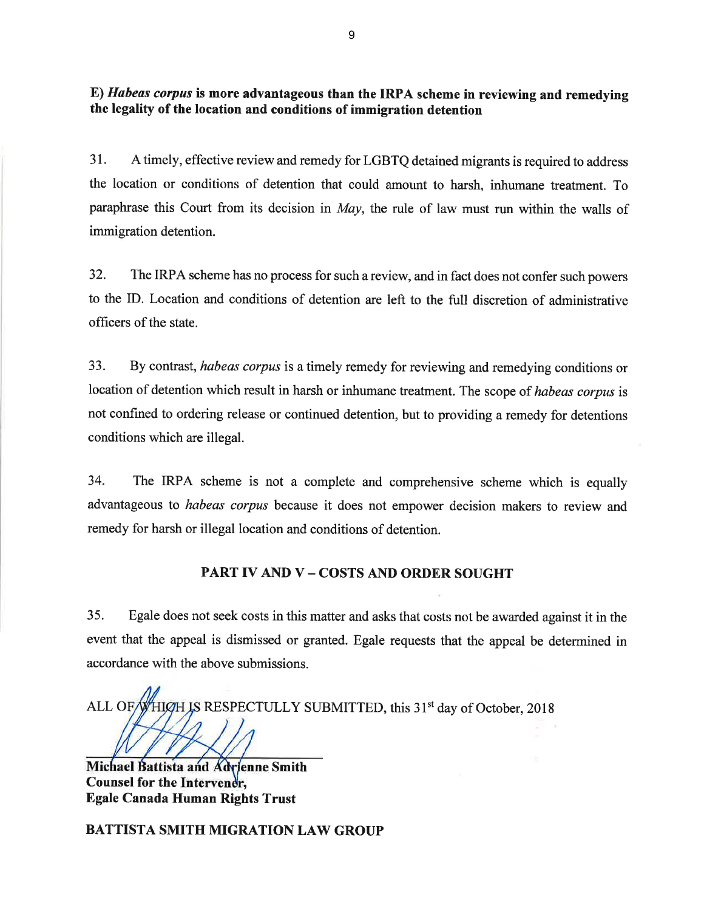E) Høbeøs corpus is more advantageous than the IRPA scheme in reviewing and remedying the legality of the location and conditions of immigration detention

31. A timely, effective review and remedy for LGBTQ detained migrants is required to address the location or conditions of detention that could amount to harsh, inhumane treatment. To paraphrase this Court from its decision in May, the rule of law must run within the walls of immigration detention.

32. The IRPA scheme has no process for such a review, and in fact does not confer such powers to the ID. Location and conditions of detention are left to the full discretion of administrative officers of the state.

33. By contrast, habeas corpus is a timely remedy for reviewing and remedying conditions or location of detention which result in harsh or inhumane treatment. The scope of habeas corpus ís not confined to ordering release or continued detention, but to providing a remedy for detentions conditions which are illegal.

34. The IRPA scheme is not a complete and comprehensive scheme which is equally advantageous to *habeas corpus* because it does not empower decision makers to review and remedy for harsh or illegal location and conditions of detention.

### PART IV AND V - COSTS AND ORDER SOUGHT

35. Egale does not seek costs in this matter and asks that costs not be awarded against it in the event that the appeal is dismissed or granted. Egale requests that the appeal be determined in accordance with the above submissions.

ALL OF WHICH IS RESPECTULLY SUBMITTED, this 31<sup>st</sup> day of October, 2018

Michael Battista and Adrienne Smith Counsel for the Intervener, Egale Canada Human Rights Trust

BATTISTA SMITH MIGRATION LAW GROUP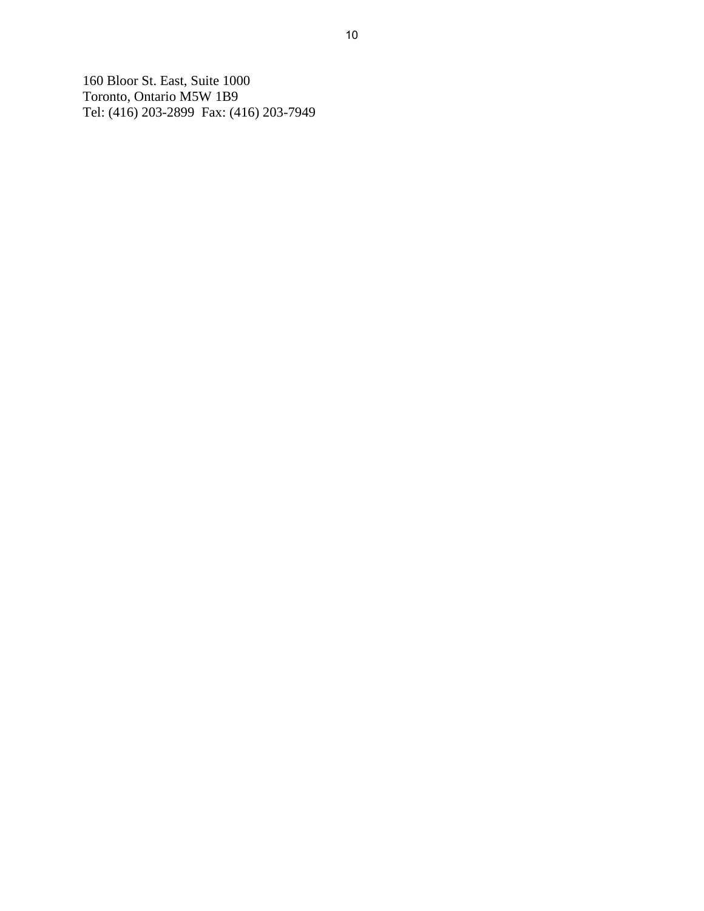160 Bloor St. East, Suite 1000 Toronto, Ontario M5W 1B9 Tel: (416) 203-2899 Fax: (416) 203-7949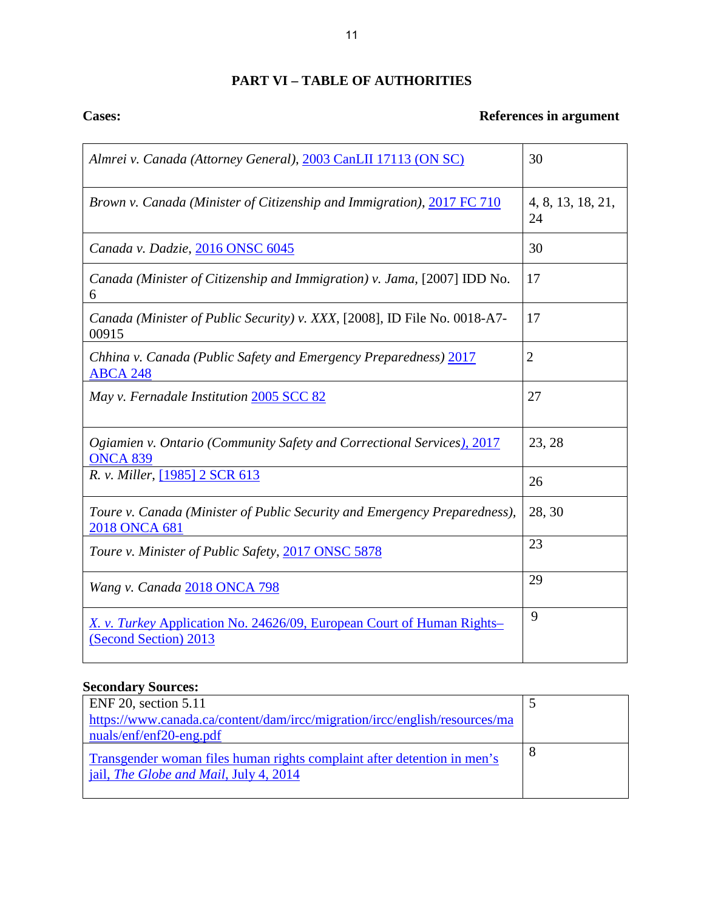## **PART VI – TABLE OF AUTHORITIES**

# **Cases:** References in argument

| Almrei v. Canada (Attorney General), 2003 CanLII 17113 (ON SC)                                         | 30                      |
|--------------------------------------------------------------------------------------------------------|-------------------------|
| Brown v. Canada (Minister of Citizenship and Immigration), 2017 FC 710                                 | 4, 8, 13, 18, 21,<br>24 |
| Canada v. Dadzie, 2016 ONSC 6045                                                                       | 30                      |
| Canada (Minister of Citizenship and Immigration) v. Jama, [2007] IDD No.<br>6                          | 17                      |
| Canada (Minister of Public Security) v. XXX, [2008], ID File No. 0018-A7-<br>00915                     | 17                      |
| Chhina v. Canada (Public Safety and Emergency Preparedness) 2017<br><b>ABCA 248</b>                    | $\overline{2}$          |
| May v. Fernadale Institution 2005 SCC 82                                                               | 27                      |
| Ogiamien v. Ontario (Community Safety and Correctional Services), 2017<br><b>ONCA 839</b>              | 23, 28                  |
| R. v. Miller, [1985] 2 SCR 613                                                                         | 26                      |
| Toure v. Canada (Minister of Public Security and Emergency Preparedness),<br>2018 ONCA 681             | 28, 30                  |
| Toure v. Minister of Public Safety, 2017 ONSC 5878                                                     | 23                      |
| Wang v. Canada 2018 ONCA 798                                                                           | 29                      |
| <u>X. v. Turkey Application No. 24626/09, European Court of Human Rights-</u><br>(Second Section) 2013 | 9                       |

# **Secondary Sources:**

| <b>ENF 20, section 5.11</b>                                                |  |
|----------------------------------------------------------------------------|--|
| https://www.canada.ca/content/dam/ircc/migration/ircc/english/resources/ma |  |
| $nuals/enf/enf20-eng.pdf$                                                  |  |
| Transgender woman files human rights complaint after detention in men's    |  |
| jail, <i>The Globe and Mail</i> , July 4, 2014                             |  |
|                                                                            |  |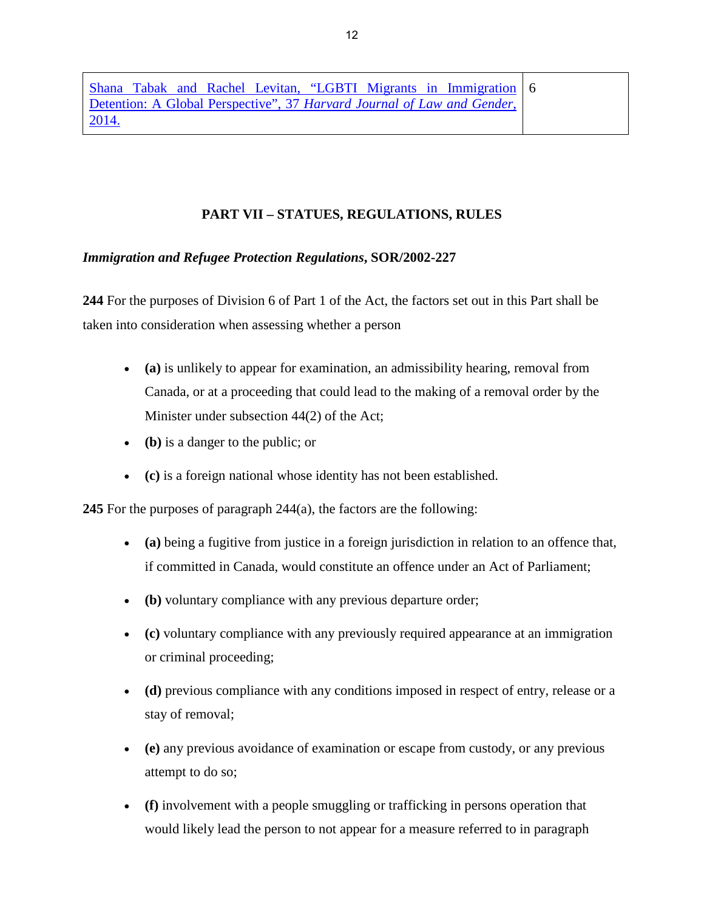[Shana Tabak and Rachel Levitan, "LGBTI Migrants in Immigration](http://harvardjlg.com/wp-content/uploads/2012/01/2014.1.pdf)  [Detention: A Global Perspective", 37](http://harvardjlg.com/wp-content/uploads/2012/01/2014.1.pdf) *Harvard Journal of Law and Gender*, [2014.](http://harvardjlg.com/wp-content/uploads/2012/01/2014.1.pdf) 6

## **PART VII – STATUES, REGULATIONS, RULES**

## *Immigration and Refugee Protection Regulations***, SOR/2002-227**

**244** For the purposes of Division 6 of Part 1 of the Act, the factors set out in this Part shall be taken into consideration when assessing whether a person

- **(a)** is unlikely to appear for examination, an admissibility hearing, removal from Canada, or at a proceeding that could lead to the making of a removal order by the Minister under subsection 44(2) of the Act;
- **(b)** is a danger to the public; or
- **(c)** is a foreign national whose identity has not been established.

**245** For the purposes of paragraph 244(a), the factors are the following:

- **(a)** being a fugitive from justice in a foreign jurisdiction in relation to an offence that, if committed in Canada, would constitute an offence under an Act of Parliament;
- **(b)** voluntary compliance with any previous departure order;
- **(c)** voluntary compliance with any previously required appearance at an immigration or criminal proceeding;
- **(d)** previous compliance with any conditions imposed in respect of entry, release or a stay of removal;
- **(e)** any previous avoidance of examination or escape from custody, or any previous attempt to do so;
- **(f)** involvement with a people smuggling or trafficking in persons operation that would likely lead the person to not appear for a measure referred to in paragraph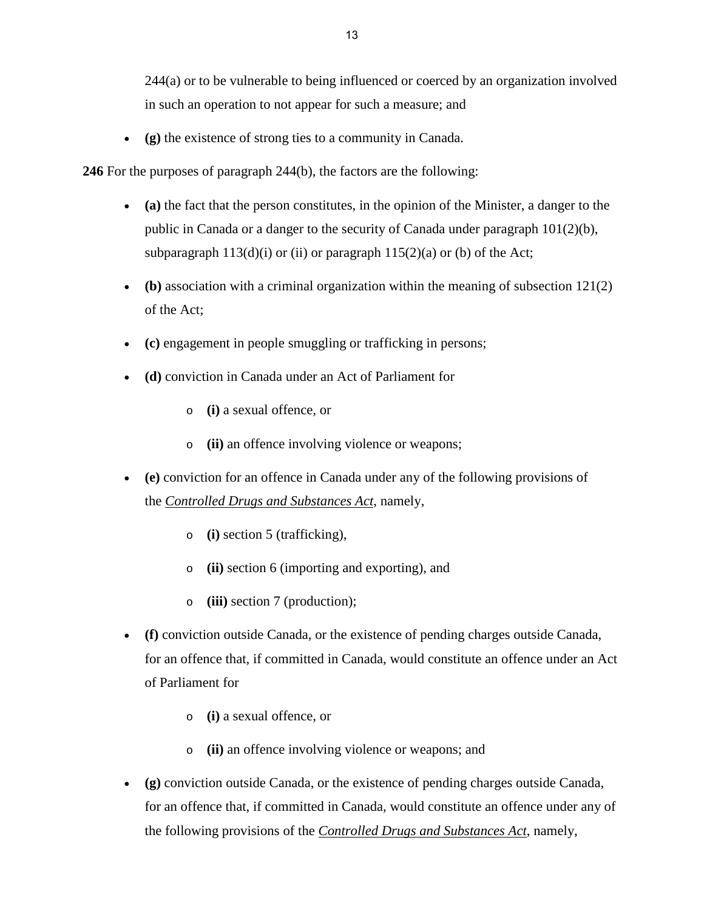244(a) or to be vulnerable to being influenced or coerced by an organization involved in such an operation to not appear for such a measure; and

• **(g)** the existence of strong ties to a community in Canada.

**246** For the purposes of paragraph 244(b), the factors are the following:

- **(a)** the fact that the person constitutes, in the opinion of the Minister, a danger to the public in Canada or a danger to the security of Canada under paragraph  $101(2)(b)$ , subparagraph  $113(d)(i)$  or (ii) or paragraph  $115(2)(a)$  or (b) of the Act;
- **(b)** association with a criminal organization within the meaning of subsection 121(2) of the Act;
- **(c)** engagement in people smuggling or trafficking in persons;
- **(d)** conviction in Canada under an Act of Parliament for
	- o **(i)** a sexual offence, or
	- o **(ii)** an offence involving violence or weapons;
- **(e)** conviction for an offence in Canada under any of the following provisions of the *[Controlled Drugs and Substances Act](http://laws-lois.justice.gc.ca/eng/acts/C-38.8)*, namely,
	- o **(i)** section 5 (trafficking),
	- o **(ii)** section 6 (importing and exporting), and
	- o **(iii)** section 7 (production);
- **(f)** conviction outside Canada, or the existence of pending charges outside Canada, for an offence that, if committed in Canada, would constitute an offence under an Act of Parliament for
	- o **(i)** a sexual offence, or
	- o **(ii)** an offence involving violence or weapons; and
- **(g)** conviction outside Canada, or the existence of pending charges outside Canada, for an offence that, if committed in Canada, would constitute an offence under any of the following provisions of the *[Controlled Drugs and Substances Act](http://laws-lois.justice.gc.ca/eng/acts/C-38.8)*, namely,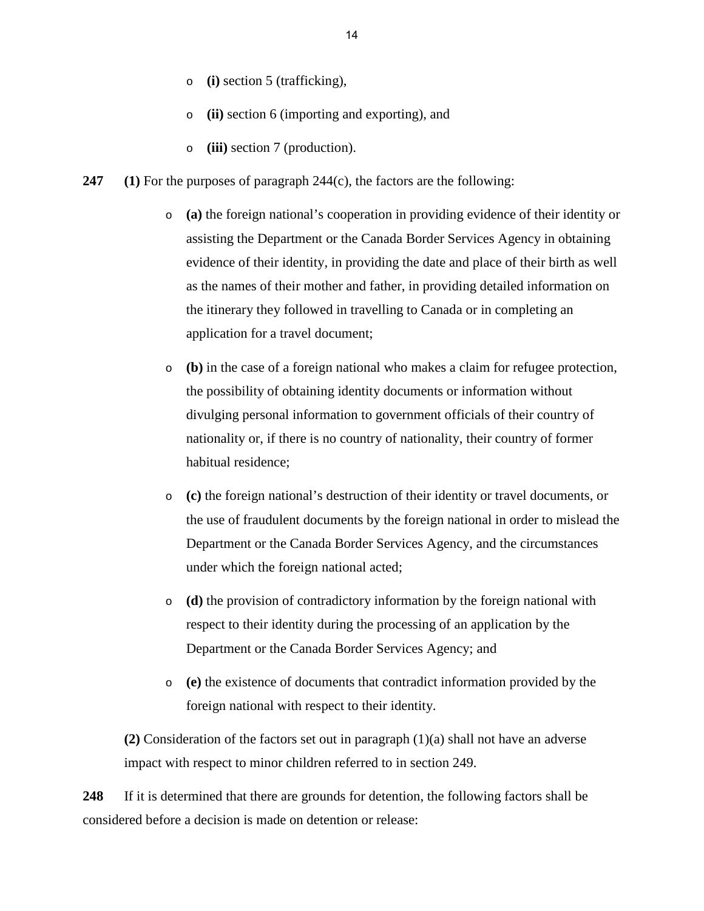- o **(i)** section 5 (trafficking),
- o **(ii)** section 6 (importing and exporting), and
- o **(iii)** section 7 (production).
- **247 (1)** For the purposes of paragraph 244(c), the factors are the following:
	- o **(a)** the foreign national's cooperation in providing evidence of their identity or assisting the Department or the Canada Border Services Agency in obtaining evidence of their identity, in providing the date and place of their birth as well as the names of their mother and father, in providing detailed information on the itinerary they followed in travelling to Canada or in completing an application for a travel document;
	- o **(b)** in the case of a foreign national who makes a claim for refugee protection, the possibility of obtaining identity documents or information without divulging personal information to government officials of their country of nationality or, if there is no country of nationality, their country of former habitual residence;
	- o **(c)** the foreign national's destruction of their identity or travel documents, or the use of fraudulent documents by the foreign national in order to mislead the Department or the Canada Border Services Agency, and the circumstances under which the foreign national acted;
	- o **(d)** the provision of contradictory information by the foreign national with respect to their identity during the processing of an application by the Department or the Canada Border Services Agency; and
	- o **(e)** the existence of documents that contradict information provided by the foreign national with respect to their identity.

**(2)** Consideration of the factors set out in paragraph (1)(a) shall not have an adverse impact with respect to minor children referred to in section 249.

**248** If it is determined that there are grounds for detention, the following factors shall be considered before a decision is made on detention or release: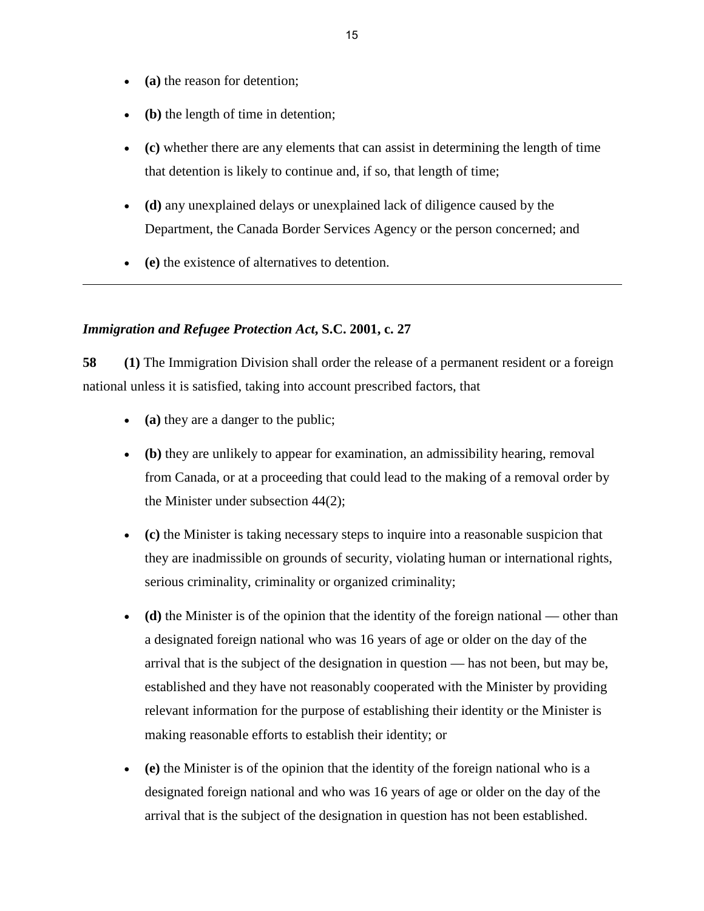- **(a)** the reason for detention;
- **(b)** the length of time in detention;
- **(c)** whether there are any elements that can assist in determining the length of time that detention is likely to continue and, if so, that length of time;
- **(d)** any unexplained delays or unexplained lack of diligence caused by the Department, the Canada Border Services Agency or the person concerned; and
- **(e)** the existence of alternatives to detention.

## *Immigration and Refugee Protection Act***, S.C. 2001, c. 27**

**58 (1)** The Immigration Division shall order the release of a permanent resident or a foreign national unless it is satisfied, taking into account prescribed factors, that

- **(a)** they are a danger to the public;
- **(b)** they are unlikely to appear for examination, an admissibility hearing, removal from Canada, or at a proceeding that could lead to the making of a removal order by the Minister under subsection 44(2);
- **(c)** the Minister is taking necessary steps to inquire into a reasonable suspicion that they are inadmissible on grounds of security, violating human or international rights, serious criminality, criminality or organized criminality;
- **(d)** the Minister is of the opinion that the identity of the foreign national other than a designated foreign national who was 16 years of age or older on the day of the arrival that is the subject of the designation in question — has not been, but may be, established and they have not reasonably cooperated with the Minister by providing relevant information for the purpose of establishing their identity or the Minister is making reasonable efforts to establish their identity; or
- **(e)** the Minister is of the opinion that the identity of the foreign national who is a designated foreign national and who was 16 years of age or older on the day of the arrival that is the subject of the designation in question has not been established.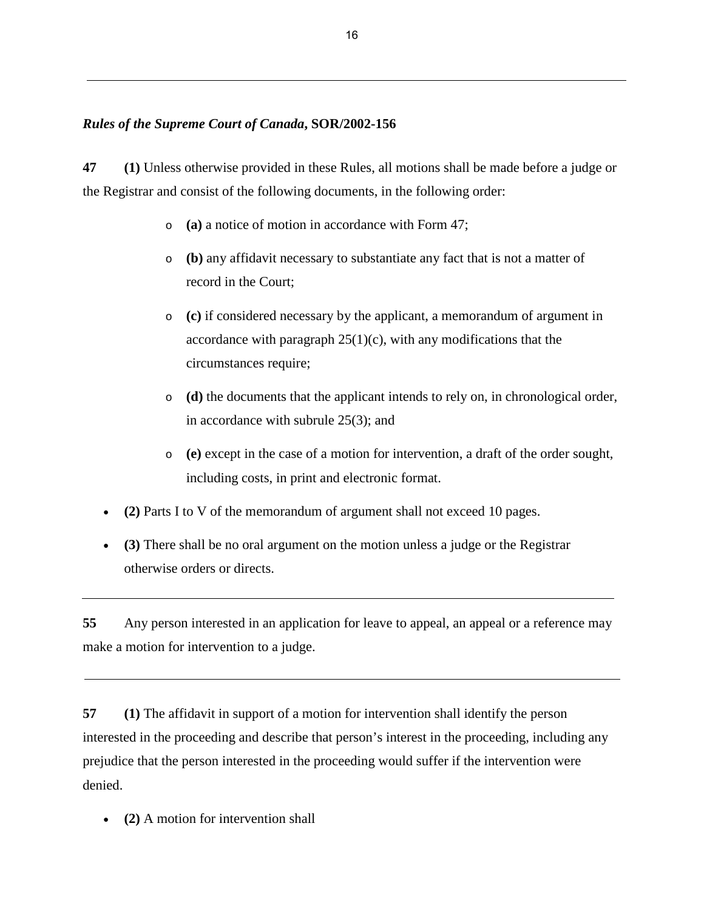## *Rules of the Supreme Court of Canada***, SOR/2002-156**

**47 (1)** Unless otherwise provided in these Rules, all motions shall be made before a judge or the Registrar and consist of the following documents, in the following order:

- o **(a)** a notice of motion in accordance with Form 47;
- o **(b)** any affidavit necessary to substantiate any fact that is not a matter of record in the Court;
- o **(c)** if considered necessary by the applicant, a memorandum of argument in accordance with paragraph  $25(1)(c)$ , with any modifications that the circumstances require;
- o **(d)** the documents that the applicant intends to rely on, in chronological order, in accordance with subrule 25(3); and
- o **(e)** except in the case of a motion for intervention, a draft of the order sought, including costs, in print and electronic format.
- **(2)** Parts I to V of the memorandum of argument shall not exceed 10 pages.
- **(3)** There shall be no oral argument on the motion unless a judge or the Registrar otherwise orders or directs.

**55** Any person interested in an application for leave to appeal, an appeal or a reference may make a motion for intervention to a judge.

**57 (1)** The affidavit in support of a motion for intervention shall identify the person interested in the proceeding and describe that person's interest in the proceeding, including any prejudice that the person interested in the proceeding would suffer if the intervention were denied.

• **(2)** A motion for intervention shall